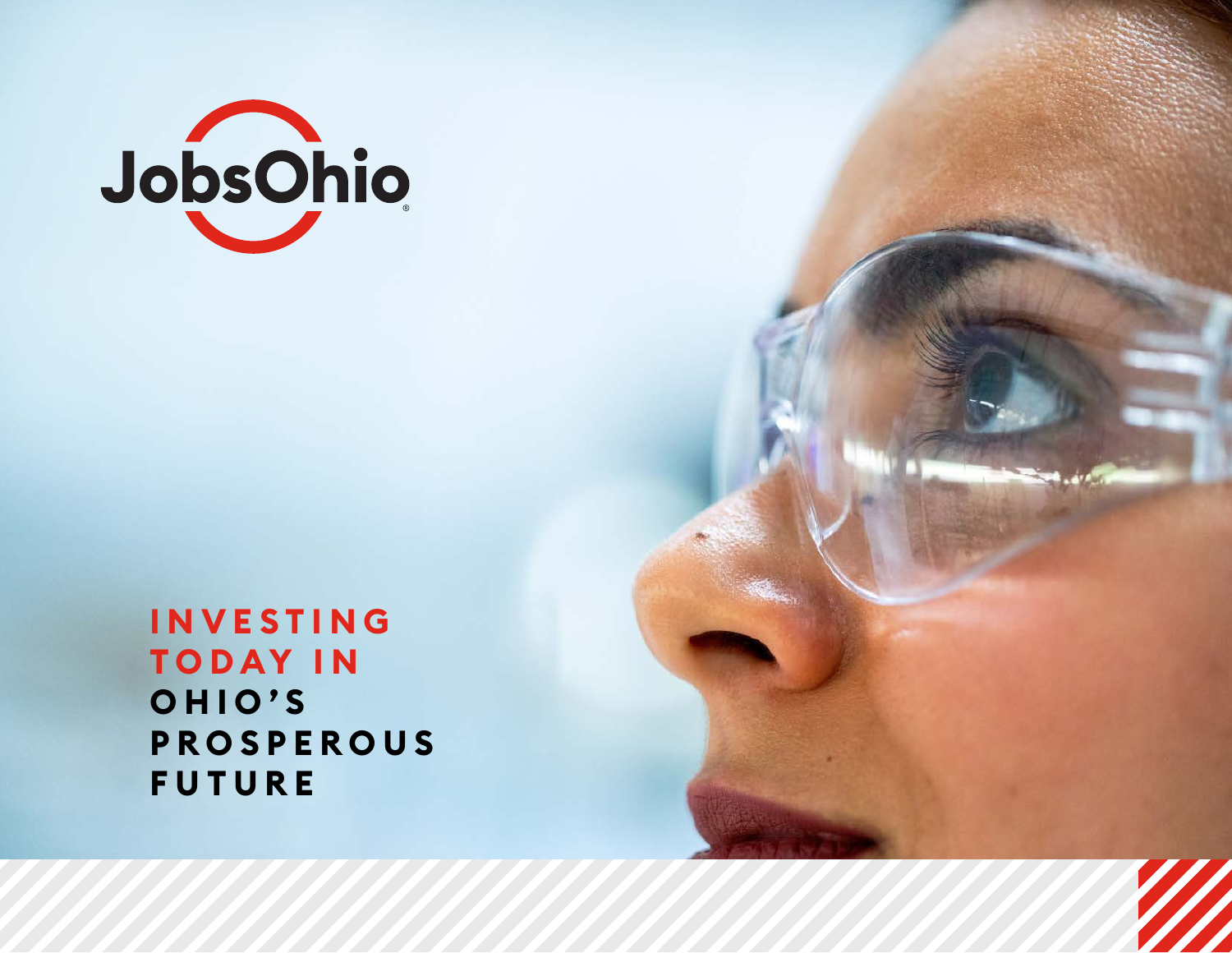

**I N V E S T I N G T O D AY I N O H I O ' S PROSPEROUS FUTURE**

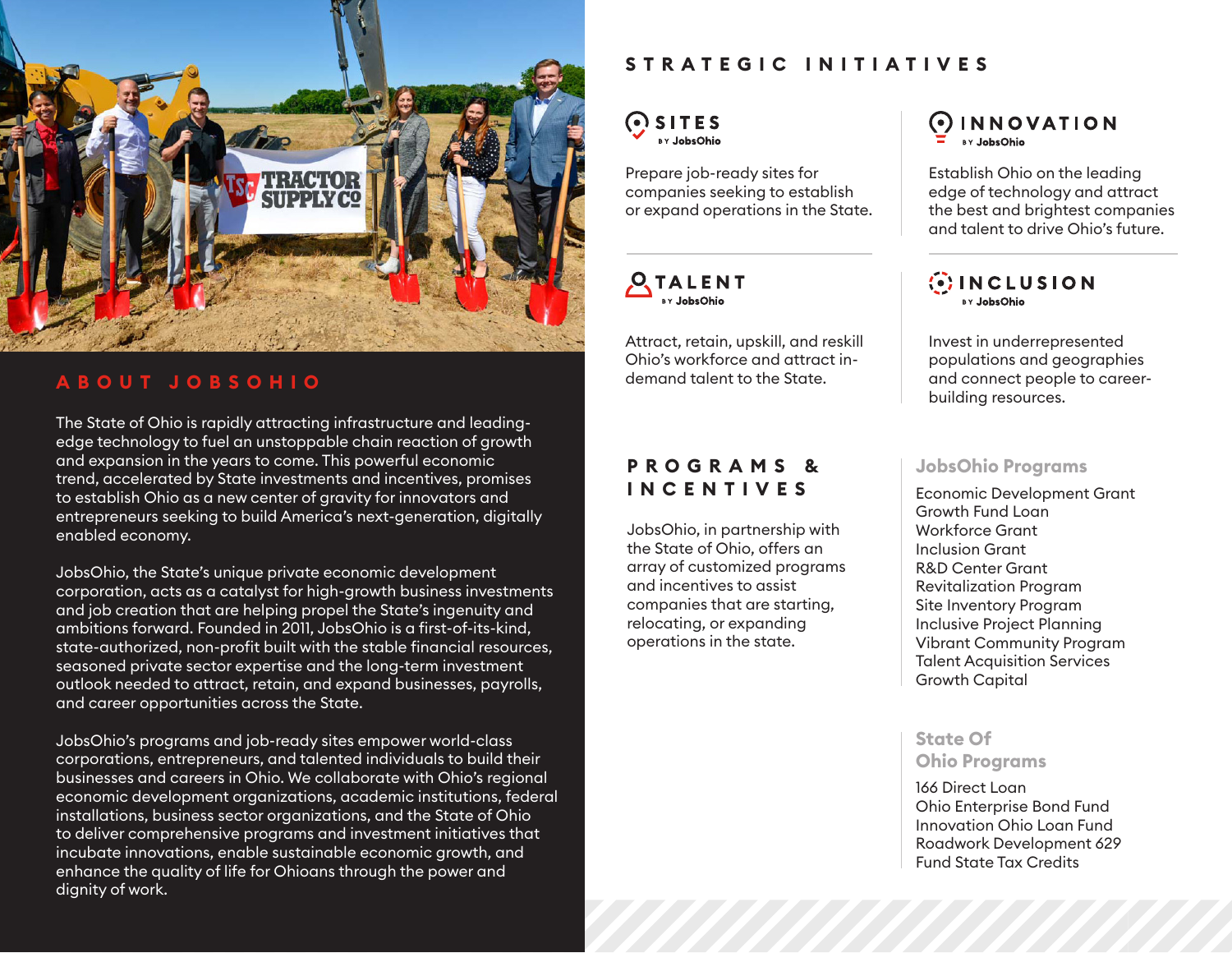

## **ABOUT JOBSOHIO**

The State of Ohio is rapidly attracting infrastructure and leadingedge technology to fuel an unstoppable chain reaction of growth and expansion in the years to come. This powerful economic trend, accelerated by State investments and incentives, promises to establish Ohio as a new center of gravity for innovators and entrepreneurs seeking to build America's next-generation, digitally enabled economy.

JobsOhio, the State's unique private economic development corporation, acts as a catalyst for high-growth business investments and job creation that are helping propel the State's ingenuity and ambitions forward. Founded in 2011, JobsOhio is a first-of-its-kind, state-authorized, non-profit built with the stable financial resources, seasoned private sector expertise and the long-term investment outlook needed to attract, retain, and expand businesses, payrolls, and career opportunities across the State.

JobsOhio's programs and job-ready sites empower world-class corporations, entrepreneurs, and talented individuals to build their businesses and careers in Ohio. We collaborate with Ohio's regional economic development organizations, academic institutions, federal installations, business sector organizations, and the State of Ohio to deliver comprehensive programs and investment initiatives that incubate innovations, enable sustainable economic growth, and enhance the quality of life for Ohioans through the power and dignity of work.

## **STRATEGIC INITIATIVES**

### $Q$  SITES BY JobsOhic

Prepare job-ready sites for companies seeking to establish or expand operations in the State.

**OTALENT** BY JohsOhio

Attract, retain, upskill, and reskill Ohio's workforce and attract indemand talent to the State.

## **P R O G R A M S & INCENTIVES**

JobsOhio, in partnership with the State of Ohio, offers an array of customized programs and incentives to assist companies that are starting, relocating, or expanding operations in the state.

 $\odot$  INNOVATION **BY JohsOhio** 

Establish Ohio on the leading edge of technology and attract the best and brightest companies and talent to drive Ohio's future.

 $\langle \cdot \rangle$  INCLUSION BY JobsOhio

Invest in underrepresented populations and geographies and connect people to careerbuilding resources.

### **JobsOhio Programs**

Economic Development Grant Growth Fund Loan Workforce Grant Inclusion Grant R&D Center Grant Revitalization Program Site Inventory Program Inclusive Project Planning Vibrant Community Program Talent Acquisition Services Growth Capital

**State Of Ohio Programs**

### 166 Direct Loan Ohio Enterprise Bond Fund Innovation Ohio Loan Fund Roadwork Development 629 Fund State Tax Credits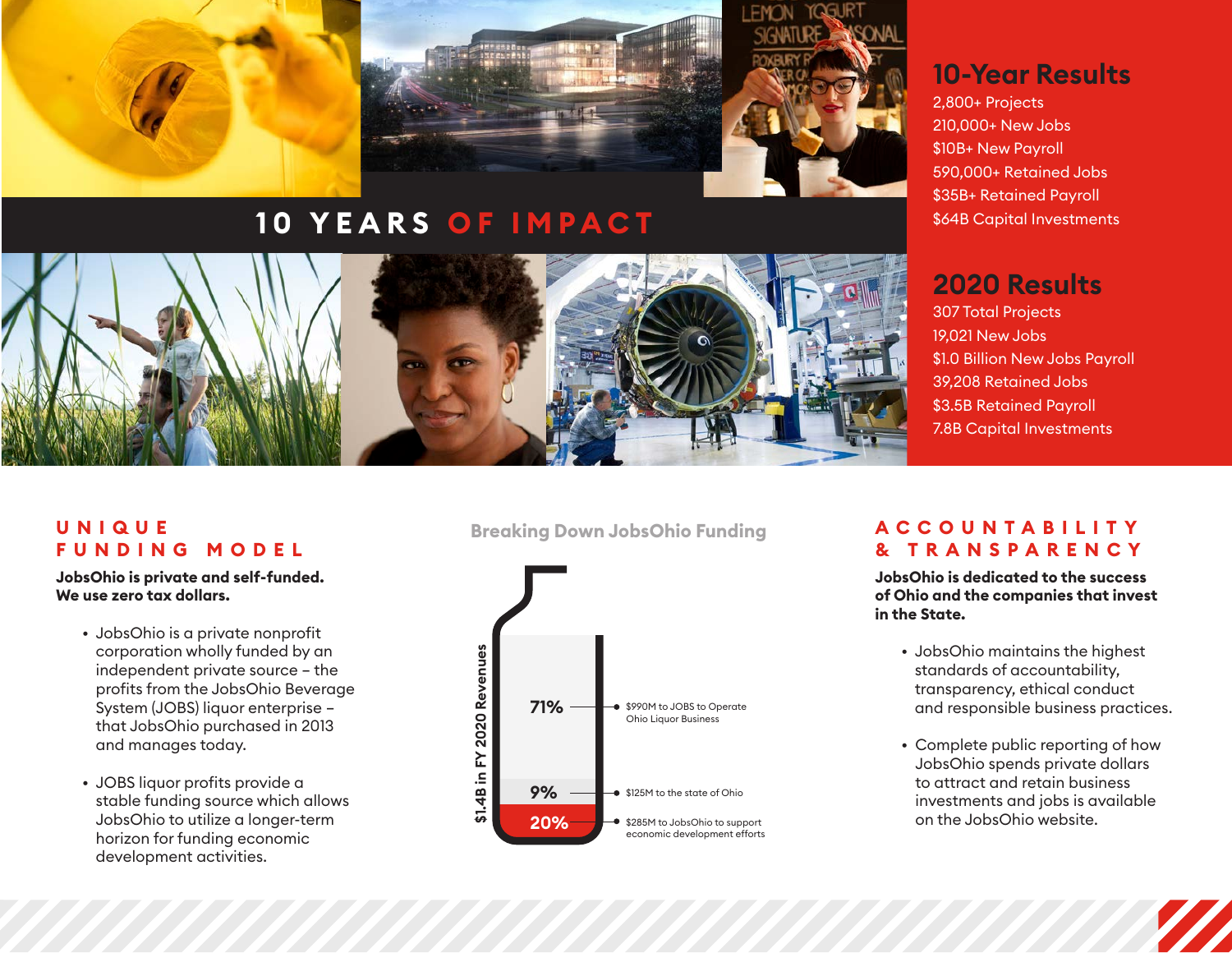

# **10 YEARS OF IMPACT**



## **10-Year Results**

2,800+ Projects 210,000+ New Jobs \$10B+ New Payroll 590,000+ Retained Jobs \$35B+ Retained Payroll \$64B Capital Investments

## **2020 Results**

307 Total Projects 19,021 New Jobs \$1.0 Billion New Jobs Payroll 39,208 Retained Jobs \$3.5B Retained Payroll 7.8B Capital Investments

## **U N I Q U E FUNDING MODEL**

**JobsOhio is private and self-funded. We use zero tax dollars.**

- JobsOhio is a private nonprofit corporation wholly funded by an independent private source – the profits from the JobsOhio Beverage System (JOBS) liquor enterprise – that JobsOhio purchased in 2013 and manages today.
- JOBS liquor profits provide a stable funding source which allows JobsOhio to utilize a longer-term horizon for funding economic development activities.

**Breaking Down JobsOhio Funding**



## **ACCOUNTABILITY & TRANSPARENCY**

**JobsOhio is dedicated to the success of Ohio and the companies that invest in the State.**

- JobsOhio maintains the highest standards of accountability, transparency, ethical conduct and responsible business practices.
- Complete public reporting of how JobsOhio spends private dollars to attract and retain business investments and jobs is available